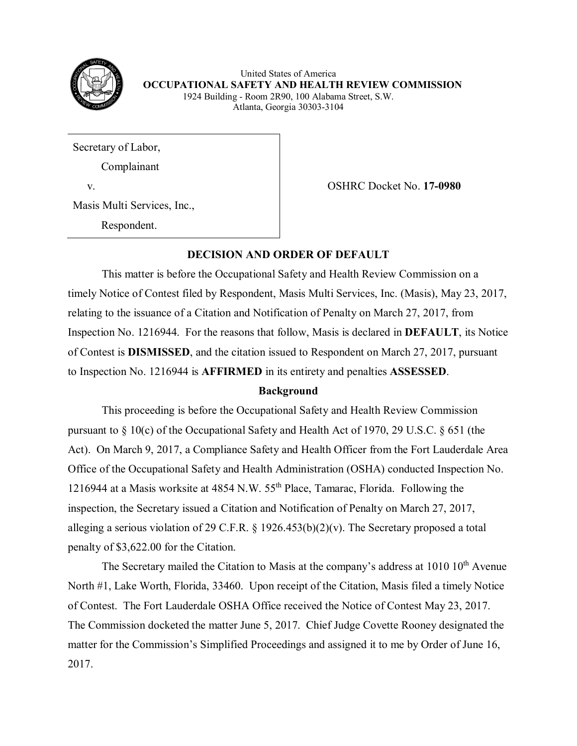

United States of America  **OCCUPATIONAL SAFETY AND HEALTH REVIEW COMMISSION** 1924 Building - Room 2R90, 100 Alabama Street, S.W. Atlanta, Georgia 30303-3104

Secretary of Labor,

Complainant

Masis Multi Services, Inc.,

Respondent.

v. OSHRC Docket No. **17-0980**

## **DECISION AND ORDER OF DEFAULT**

This matter is before the Occupational Safety and Health Review Commission on a timely Notice of Contest filed by Respondent, Masis Multi Services, Inc. (Masis), May 23, 2017, relating to the issuance of a Citation and Notification of Penalty on March 27, 2017, from Inspection No. 1216944. For the reasons that follow, Masis is declared in **DEFAULT**, its Notice of Contest is **DISMISSED**, and the citation issued to Respondent on March 27, 2017, pursuant to Inspection No. 1216944 is **AFFIRMED** in its entirety and penalties **ASSESSED**.

## **Background**

This proceeding is before the Occupational Safety and Health Review Commission pursuant to § 10(c) of the Occupational Safety and Health Act of 1970, 29 U.S.C. § 651 (the Act). On March 9, 2017, a Compliance Safety and Health Officer from the Fort Lauderdale Area Office of the Occupational Safety and Health Administration (OSHA) conducted Inspection No. 1216944 at a Masis worksite at 4854 N.W. 55th Place, Tamarac, Florida. Following the inspection, the Secretary issued a Citation and Notification of Penalty on March 27, 2017, alleging a serious violation of 29 C.F.R. § 1926.453(b)(2)(v). The Secretary proposed a total penalty of \$3,622.00 for the Citation.

The Secretary mailed the Citation to Masis at the company's address at  $1010 \, 10^{th}$  Avenue North #1, Lake Worth, Florida, 33460. Upon receipt of the Citation, Masis filed a timely Notice of Contest. The Fort Lauderdale OSHA Office received the Notice of Contest May 23, 2017. The Commission docketed the matter June 5, 2017. Chief Judge Covette Rooney designated the matter for the Commission's Simplified Proceedings and assigned it to me by Order of June 16, 2017.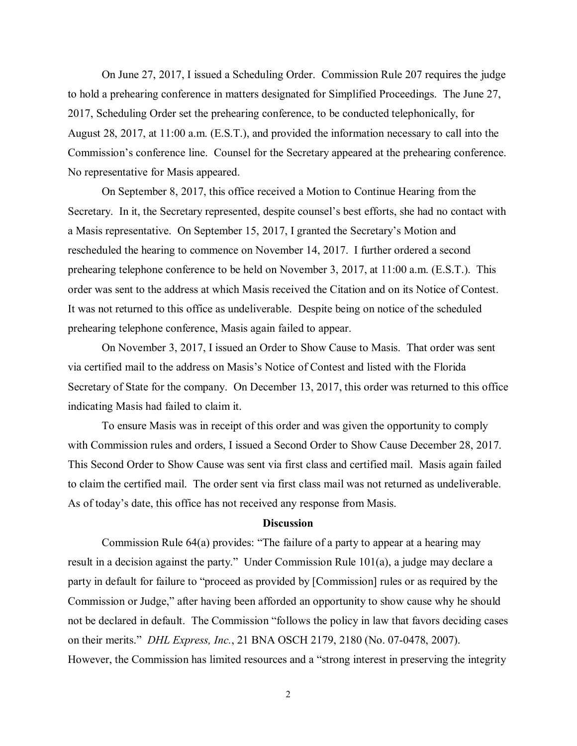On June 27, 2017, I issued a Scheduling Order. Commission Rule 207 requires the judge to hold a prehearing conference in matters designated for Simplified Proceedings. The June 27, 2017, Scheduling Order set the prehearing conference, to be conducted telephonically, for August 28, 2017, at 11:00 a.m. (E.S.T.), and provided the information necessary to call into the Commission's conference line. Counsel for the Secretary appeared at the prehearing conference. No representative for Masis appeared.

On September 8, 2017, this office received a Motion to Continue Hearing from the Secretary. In it, the Secretary represented, despite counsel's best efforts, she had no contact with a Masis representative. On September 15, 2017, I granted the Secretary's Motion and rescheduled the hearing to commence on November 14, 2017. I further ordered a second prehearing telephone conference to be held on November 3, 2017, at 11:00 a.m. (E.S.T.). This order was sent to the address at which Masis received the Citation and on its Notice of Contest. It was not returned to this office as undeliverable. Despite being on notice of the scheduled prehearing telephone conference, Masis again failed to appear.

On November 3, 2017, I issued an Order to Show Cause to Masis. That order was sent via certified mail to the address on Masis's Notice of Contest and listed with the Florida Secretary of State for the company. On December 13, 2017, this order was returned to this office indicating Masis had failed to claim it.

To ensure Masis was in receipt of this order and was given the opportunity to comply with Commission rules and orders, I issued a Second Order to Show Cause December 28, 2017. This Second Order to Show Cause was sent via first class and certified mail. Masis again failed to claim the certified mail. The order sent via first class mail was not returned as undeliverable. As of today's date, this office has not received any response from Masis.

## **Discussion**

Commission Rule 64(a) provides: "The failure of a party to appear at a hearing may result in a decision against the party." Under Commission Rule 101(a), a judge may declare a party in default for failure to "proceed as provided by [Commission] rules or as required by the Commission or Judge," after having been afforded an opportunity to show cause why he should not be declared in default. The Commission "follows the policy in law that favors deciding cases on their merits." *DHL Express, Inc.*, 21 BNA OSCH 2179, 2180 (No. 07-0478, 2007). However, the Commission has limited resources and a "strong interest in preserving the integrity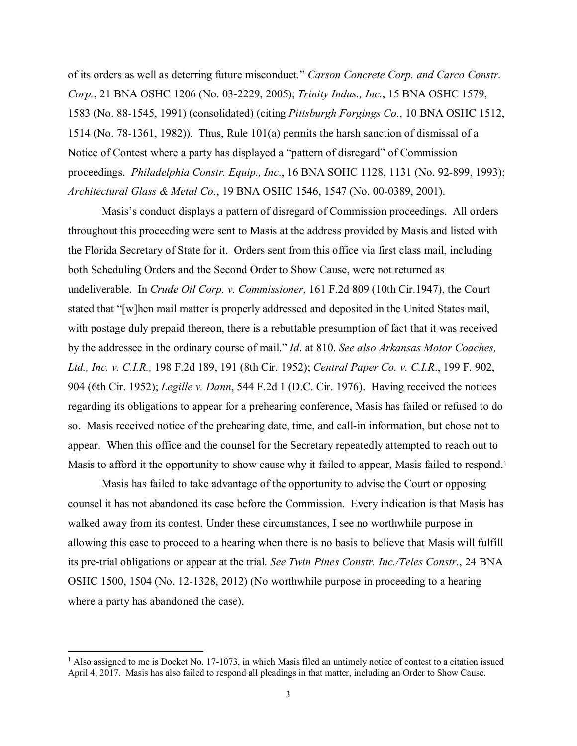of its orders as well as deterring future misconduct*.*" *Carson Concrete Corp. and Carco Constr. Corp.*, 21 BNA OSHC 1206 (No. 03-2229, 2005); *Trinity Indus., Inc.*, 15 BNA OSHC 1579, 1583 (No. 88-1545, 1991) (consolidated) (citing *Pittsburgh Forgings Co.*, 10 BNA OSHC 1512, 1514 (No. 78-1361, 1982)). Thus, Rule 101(a) permits the harsh sanction of dismissal of a Notice of Contest where a party has displayed a "pattern of disregard" of Commission proceedings. *Philadelphia Constr. Equip., Inc*., 16 BNA SOHC 1128, 1131 (No. 92-899, 1993); *Architectural Glass & Metal Co.*, 19 BNA OSHC 1546, 1547 (No. 00-0389, 2001).

Masis's conduct displays a pattern of disregard of Commission proceedings. All orders throughout this proceeding were sent to Masis at the address provided by Masis and listed with the Florida Secretary of State for it. Orders sent from this office via first class mail, including both Scheduling Orders and the Second Order to Show Cause, were not returned as undeliverable. In *Crude Oil Corp. v. Commissioner*, 161 F.2d 809 (10th Cir.1947), the Court stated that "[w]hen mail matter is properly addressed and deposited in the United States mail, with postage duly prepaid thereon, there is a rebuttable presumption of fact that it was received by the addressee in the ordinary course of mail." *Id*. at 810. *See also Arkansas Motor Coaches, Ltd., Inc. v. C.I.R.,* 198 F.2d 189, 191 (8th Cir. 1952); *Central Paper Co. v. C.I.R*., 199 F. 902, 904 (6th Cir. 1952); *Legille v. Dann*, 544 F.2d 1 (D.C. Cir. 1976). Having received the notices regarding its obligations to appear for a prehearing conference, Masis has failed or refused to do so. Masis received notice of the prehearing date, time, and call-in information, but chose not to appear. When this office and the counsel for the Secretary repeatedly attempted to reach out to Masis to afford it the opportunity to show cause why it failed to appear, Masis failed to respond.<sup>[1](#page-2-0)</sup>

Masis has failed to take advantage of the opportunity to advise the Court or opposing counsel it has not abandoned its case before the Commission. Every indication is that Masis has walked away from its contest. Under these circumstances, I see no worthwhile purpose in allowing this case to proceed to a hearing when there is no basis to believe that Masis will fulfill its pre-trial obligations or appear at the trial. *See Twin Pines Constr. Inc./Teles Constr.*, 24 BNA OSHC 1500, 1504 (No. 12-1328, 2012) (No worthwhile purpose in proceeding to a hearing where a party has abandoned the case).

 $\overline{\phantom{a}}$ 

<span id="page-2-0"></span><sup>&</sup>lt;sup>1</sup> Also assigned to me is Docket No. 17-1073, in which Masis filed an untimely notice of contest to a citation issued April 4, 2017. Masis has also failed to respond all pleadings in that matter, including an Order to Show Cause.